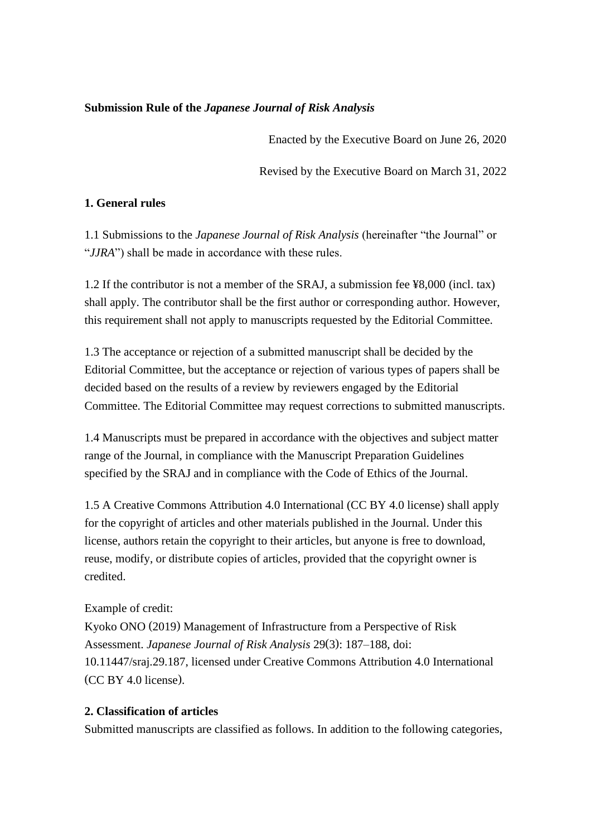# **Submission Rule of the** *Japanese Journal of Risk Analysis*

Enacted by the Executive Board on June 26, 2020

Revised by the Executive Board on March 31, 2022

# **1. General rules**

1.1 Submissions to the *Japanese Journal of Risk Analysis* (hereinafter "the Journal" or "*JJRA*") shall be made in accordance with these rules.

1.2 If the contributor is not a member of the SRAJ, a submission fee ¥8,000 (incl. tax) shall apply. The contributor shall be the first author or corresponding author. However, this requirement shall not apply to manuscripts requested by the Editorial Committee.

1.3 The acceptance or rejection of a submitted manuscript shall be decided by the Editorial Committee, but the acceptance or rejection of various types of papers shall be decided based on the results of a review by reviewers engaged by the Editorial Committee. The Editorial Committee may request corrections to submitted manuscripts.

1.4 Manuscripts must be prepared in accordance with the objectives and subject matter range of the Journal, in compliance with the Manuscript Preparation Guidelines specified by the SRAJ and in compliance with the Code of Ethics of the Journal.

1.5 A Creative Commons Attribution 4.0 International (CC BY 4.0 license) shall apply for the copyright of articles and other materials published in the Journal. Under this license, authors retain the copyright to their articles, but anyone is free to download, reuse, modify, or distribute copies of articles, provided that the copyright owner is credited.

### Example of credit:

Kyoko ONO (2019) Management of Infrastructure from a Perspective of Risk Assessment. *Japanese Journal of Risk Analysis* 29(3): 187–188, doi: 10.11447/sraj.29.187, licensed under Creative Commons Attribution 4.0 International (CC BY 4.0 license).

### **2. Classification of articles**

Submitted manuscripts are classified as follows. In addition to the following categories,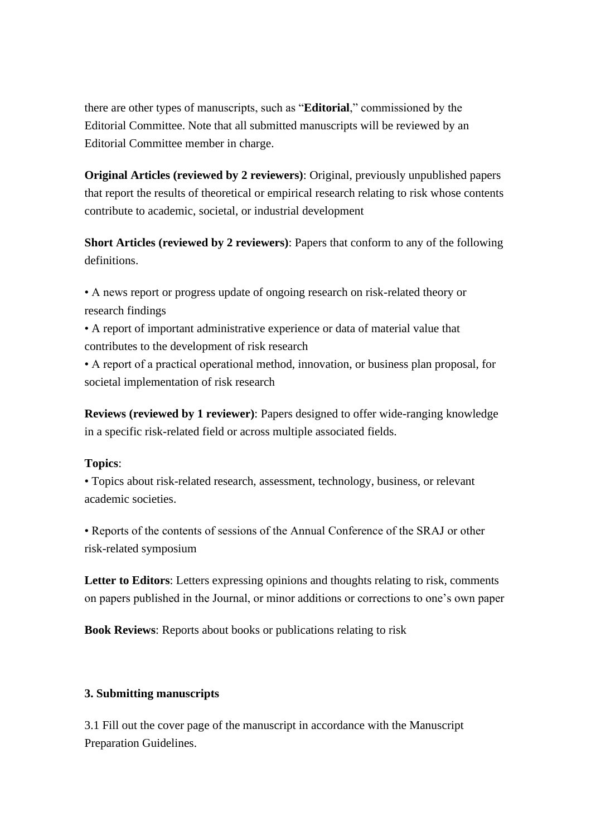there are other types of manuscripts, such as "**Editorial**," commissioned by the Editorial Committee. Note that all submitted manuscripts will be reviewed by an Editorial Committee member in charge.

**Original Articles (reviewed by 2 reviewers)**: Original, previously unpublished papers that report the results of theoretical or empirical research relating to risk whose contents contribute to academic, societal, or industrial development

**Short Articles (reviewed by 2 reviewers)**: Papers that conform to any of the following definitions.

• A news report or progress update of ongoing research on risk-related theory or research findings

• A report of important administrative experience or data of material value that contributes to the development of risk research

• A report of a practical operational method, innovation, or business plan proposal, for societal implementation of risk research

**Reviews (reviewed by 1 reviewer)**: Papers designed to offer wide-ranging knowledge in a specific risk-related field or across multiple associated fields.

### **Topics**:

• Topics about risk-related research, assessment, technology, business, or relevant academic societies.

• Reports of the contents of sessions of the Annual Conference of the SRAJ or other risk-related symposium

**Letter to Editors**: Letters expressing opinions and thoughts relating to risk, comments on papers published in the Journal, or minor additions or corrections to one's own paper

**Book Reviews**: Reports about books or publications relating to risk

### **3. Submitting manuscripts**

3.1 Fill out the cover page of the manuscript in accordance with the Manuscript Preparation Guidelines.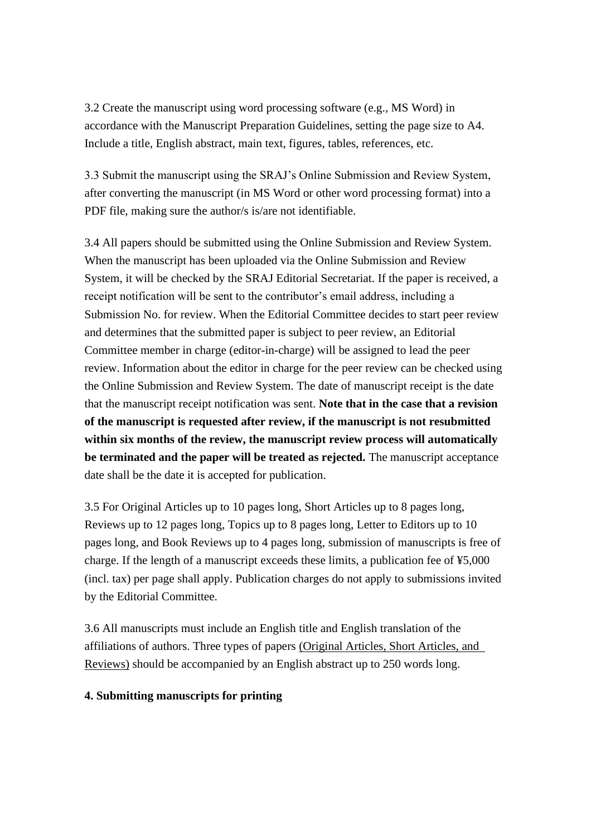3.2 Create the manuscript using word processing software (e.g., MS Word) in accordance with the Manuscript Preparation Guidelines, setting the page size to A4. Include a title, English abstract, main text, figures, tables, references, etc.

3.3 Submit the manuscript using the SRAJ's Online Submission and Review System, after converting the manuscript (in MS Word or other word processing format) into a PDF file, making sure the author/s is/are not identifiable.

3.4 All papers should be submitted using the Online Submission and Review System. When the manuscript has been uploaded via the Online Submission and Review System, it will be checked by the SRAJ Editorial Secretariat. If the paper is received, a receipt notification will be sent to the contributor's email address, including a Submission No. for review. When the Editorial Committee decides to start peer review and determines that the submitted paper is subject to peer review, an Editorial Committee member in charge (editor-in-charge) will be assigned to lead the peer review. Information about the editor in charge for the peer review can be checked using the Online Submission and Review System. The date of manuscript receipt is the date that the manuscript receipt notification was sent. **Note that in the case that a revision of the manuscript is requested after review, if the manuscript is not resubmitted within six months of the review, the manuscript review process will automatically be terminated and the paper will be treated as rejected.** The manuscript acceptance date shall be the date it is accepted for publication.

3.5 For Original Articles up to 10 pages long, Short Articles up to 8 pages long, Reviews up to 12 pages long, Topics up to 8 pages long, Letter to Editors up to 10 pages long, and Book Reviews up to 4 pages long, submission of manuscripts is free of charge. If the length of a manuscript exceeds these limits, a publication fee of ¥5,000 (incl. tax) per page shall apply. Publication charges do not apply to submissions invited by the Editorial Committee.

3.6 All manuscripts must include an English title and English translation of the affiliations of authors. Three types of papers (Original Articles, Short Articles, and Reviews) should be accompanied by an English abstract up to 250 words long.

### **4. Submitting manuscripts for printing**